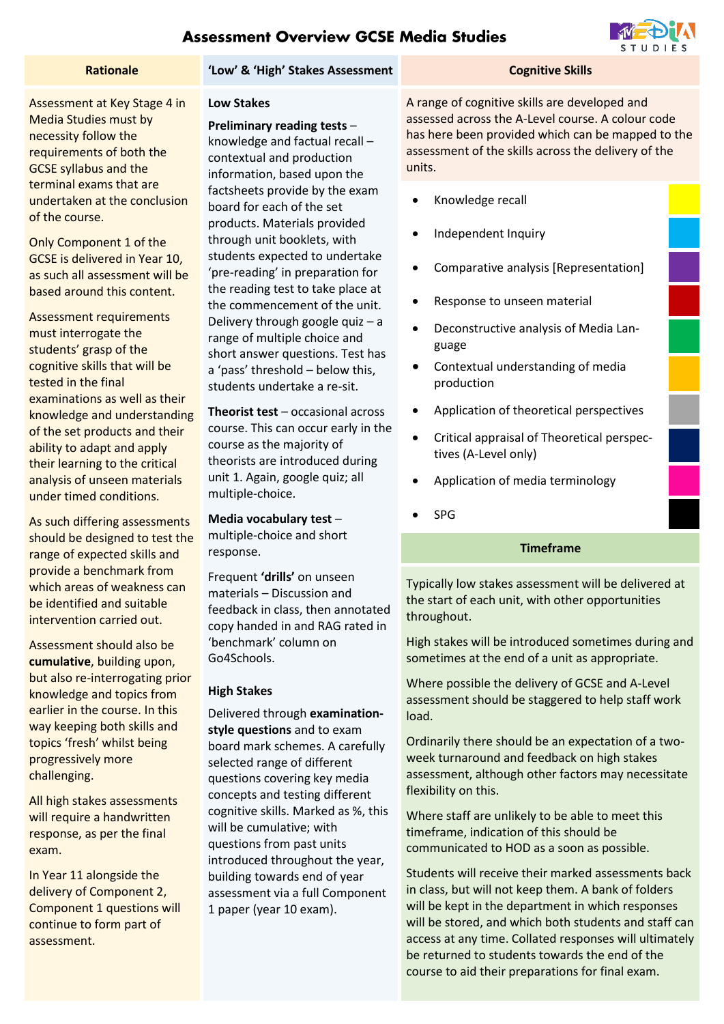# **Assessment Overview GCSE Media Studies**

#### **Rationale 1988 'Low' & 'High' Stakes Assessment Cognitive Skills**

Assessment at Key Stage 4 in Media Studies must by necessity follow the requirements of both the GCSE syllabus and the terminal exams that are undertaken at the conclusion of the course.

Only Component 1 of the GCSE is delivered in Year 10, as such all assessment will be based around this content.

Assessment requirements must interrogate the students' grasp of the cognitive skills that will be tested in the final examinations as well as their knowledge and understanding of the set products and their ability to adapt and apply their learning to the critical analysis of unseen materials under timed conditions.

As such differing assessments should be designed to test the range of expected skills and provide a benchmark from which areas of weakness can be identified and suitable intervention carried out.

Assessment should also be **cumulative**, building upon, but also re-interrogating prior knowledge and topics from earlier in the course. In this way keeping both skills and topics 'fresh' whilst being progressively more challenging.

All high stakes assessments will require a handwritten response, as per the final exam.

In Year 11 alongside the delivery of Component 2, Component 1 questions will continue to form part of assessment.

### **Low Stakes**

**Preliminary reading tests** – knowledge and factual recall – contextual and production information, based upon the factsheets provide by the exam board for each of the set products. Materials provided through unit booklets, with students expected to undertake 'pre-reading' in preparation for the reading test to take place at the commencement of the unit. Delivery through google quiz – a range of multiple choice and short answer questions. Test has a 'pass' threshold – below this, students undertake a re-sit.

**Theorist test** – occasional across course. This can occur early in the course as the majority of theorists are introduced during unit 1. Again, google quiz; all multiple-choice.

### **Media vocabulary test** –

multiple-choice and short response.

Frequent **'drills'** on unseen materials – Discussion and feedback in class, then annotated copy handed in and RAG rated in 'benchmark' column on Go4Schools.

#### **High Stakes**

Delivered through **examinationstyle questions** and to exam board mark schemes. A carefully selected range of different questions covering key media concepts and testing different cognitive skills. Marked as %, this will be cumulative; with questions from past units introduced throughout the year, building towards end of year assessment via a full Component 1 paper (year 10 exam).

A range of cognitive skills are developed and assessed across the A-Level course. A colour code has here been provided which can be mapped to the assessment of the skills across the delivery of the units.

- Knowledge recall
- Independent Inquiry
- Comparative analysis [Representation]
- Response to unseen material
- Deconstructive analysis of Media Language
- Contextual understanding of media production
- Application of theoretical perspectives
- Critical appraisal of Theoretical perspectives (A-Level only)
- Application of media terminology
- SPG

### **Timeframe**

Typically low stakes assessment will be delivered at the start of each unit, with other opportunities throughout.

High stakes will be introduced sometimes during and sometimes at the end of a unit as appropriate.

Where possible the delivery of GCSE and A-Level assessment should be staggered to help staff work load.

Ordinarily there should be an expectation of a twoweek turnaround and feedback on high stakes assessment, although other factors may necessitate flexibility on this.

Where staff are unlikely to be able to meet this timeframe, indication of this should be communicated to HOD as a soon as possible.

Students will receive their marked assessments back in class, but will not keep them. A bank of folders will be kept in the department in which responses will be stored, and which both students and staff can access at any time. Collated responses will ultimately be returned to students towards the end of the course to aid their preparations for final exam.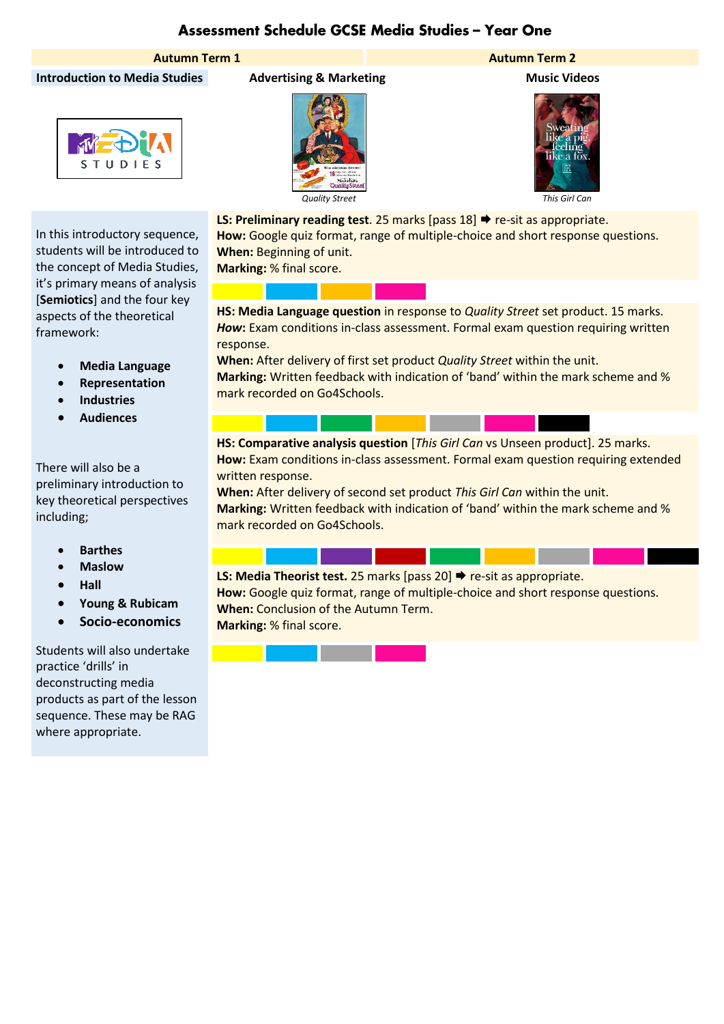# Assessment Schedule GCSE Media Studies - Year One



In this introductory sequence, students will be introduced to the concept of Media Studies, it's primary means of analysis [**Semiotics**] and the four key aspects of the theoretical

> • **Media Language** • **Representation** • **Industries** • **Audiences**

There will also be a

including;

preliminary introduction to key theoretical perspectives

> • **Barthes** • **Maslow** • **Hall**

framework:





### **Autumn Term 1 Autumn Term 2**



**LS: Preliminary reading test**. 25 marks [pass 18] ♦ re-sit as appropriate. **How:** Google quiz format, range of multiple-choice and short response questions. **When:** Beginning of unit.

**Marking:** % final score.

**HS: Media Language question** in response to *Quality Street* set product. 15 marks. *How***:** Exam conditions in-class assessment. Formal exam question requiring written response.

**When:** After delivery of first set product *Quality Street* within the unit. **Marking:** Written feedback with indication of 'band' within the mark scheme and % mark recorded on Go4Schools.

**HS: Comparative analysis question** [*This Girl Can* vs Unseen product]. 25 marks. **How:** Exam conditions in-class assessment. Formal exam question requiring extended written response.

**When:** After delivery of second set product *This Girl Can* within the unit. **Marking:** Written feedback with indication of 'band' within the mark scheme and % mark recorded on Go4Schools.

**LS: Media Theorist test.** 25 marks [pass 20] → re-sit as appropriate. **How:** Google quiz format, range of multiple-choice and short response questions. **When:** Conclusion of the Autumn Term. **Marking:** % final score.

Students will also undertake practice 'drills' in deconstructing media products as part of the lesson sequence. These may be RAG where appropriate.

• **Young & Rubicam** • **Socio-economics**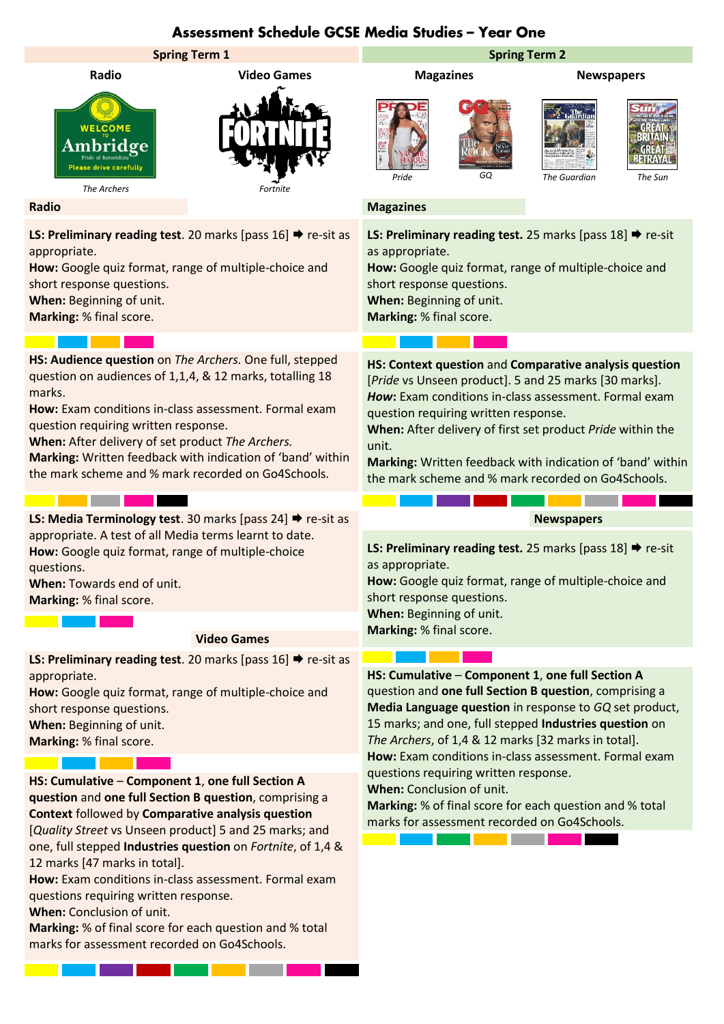## Assessment Schedule GCSE Media Studies - Year One



questions requiring written response.

**When:** Conclusion of unit.

**Marking:** % of final score for each question and % total marks for assessment recorded on Go4Schools.

<u> La Carlo de la Carlo de la Carlo de la Carlo de la Carlo de la Carlo de la Carlo de la Carlo de la Carlo de l</u>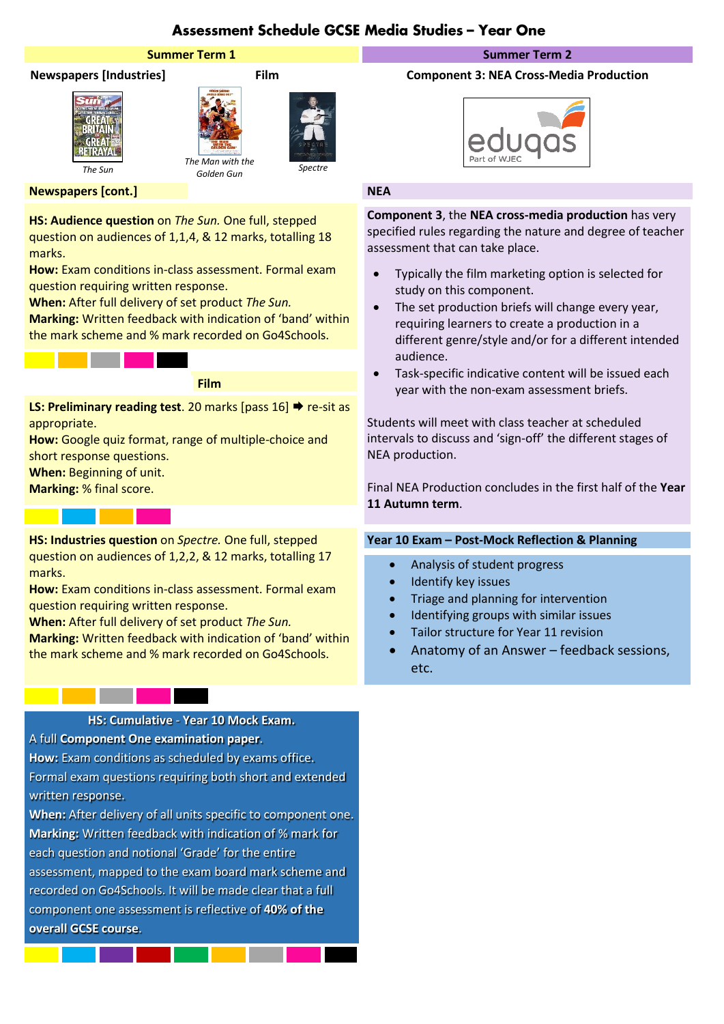# Assessment Schedule GCSE Media Studies - Year One

### **Summer Term 1 Summer Term 2**







*Golden Gun Spectre*

### **Newspapers [cont.] NEA**

**HS: Audience question** on *The Sun.* One full, stepped question on audiences of 1,1,4, & 12 marks, totalling 18 marks.

**How:** Exam conditions in-class assessment. Formal exam question requiring written response.

**When:** After full delivery of set product *The Sun.* **Marking:** Written feedback with indication of 'band' within the mark scheme and % mark recorded on Go4Schools.

**Film**

**LS: Preliminary reading test**. 20 marks [pass 16] ♦ re-sit as appropriate.

**How:** Google quiz format, range of multiple-choice and short response questions.

**When:** Beginning of unit.

**Marking:** % final score.

**HS: Industries question** on *Spectre.* One full, stepped question on audiences of 1,2,2, & 12 marks, totalling 17 marks.

**How:** Exam conditions in-class assessment. Formal exam question requiring written response.

**When:** After full delivery of set product *The Sun.* **Marking:** Written feedback with indication of 'band' within the mark scheme and % mark recorded on Go4Schools.

### **HS: Cumulative** - **Year 10 Mock Exam.**

A full **Component One examination paper**.

**How:** Exam conditions as scheduled by exams office. Formal exam questions requiring both short and extended written response.

**When:** After delivery of all units specific to component one. **Marking:** Written feedback with indication of % mark for each question and notional 'Grade' for the entire assessment, mapped to the exam board mark scheme and recorded on Go4Schools. It will be made clear that a full component one assessment is reflective of **40% of the overall GCSE course**.

#### **Newspapers [Industries] Film Component 3: NEA Cross-Media Production**



**Component 3**, the **NEA cross-media production** has very specified rules regarding the nature and degree of teacher assessment that can take place.

- Typically the film marketing option is selected for study on this component.
- The set production briefs will change every year, requiring learners to create a production in a different genre/style and/or for a different intended audience.
- Task-specific indicative content will be issued each year with the non-exam assessment briefs.

Students will meet with class teacher at scheduled intervals to discuss and 'sign-off' the different stages of NEA production.

Final NEA Production concludes in the first half of the **Year 11 Autumn term**.

# **Year 10 Exam – Post-Mock Reflection & Planning**

- Analysis of student progress
- Identify key issues
- Triage and planning for intervention
- Identifying groups with similar issues
- Tailor structure for Year 11 revision
- Anatomy of an Answer feedback sessions, etc.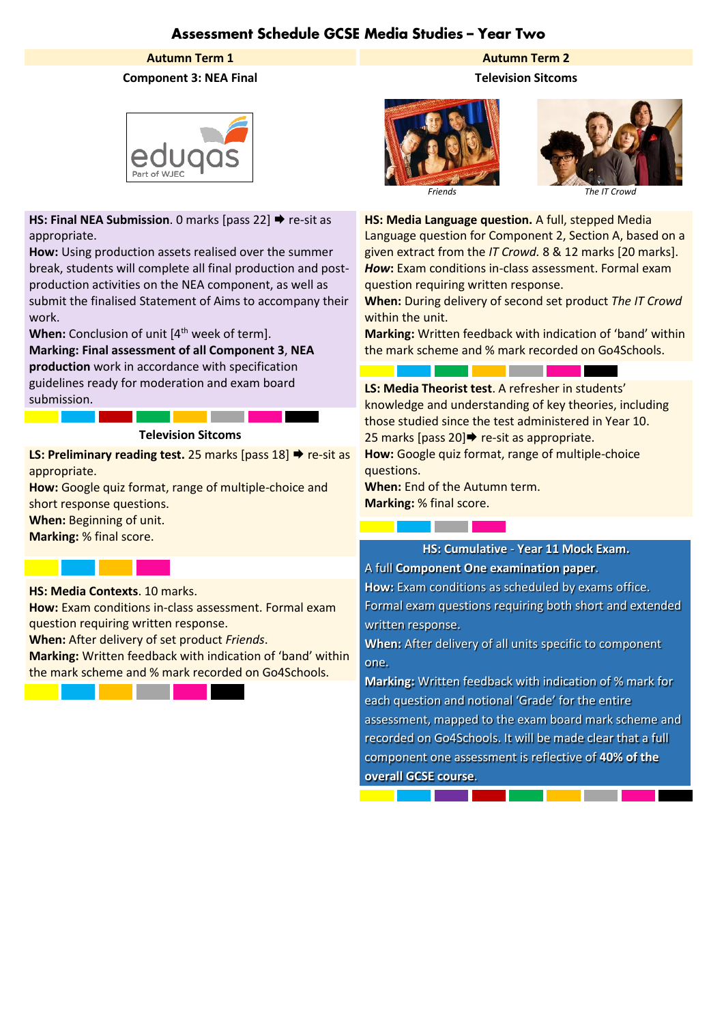# Assessment Schedule GCSE Media Studies - Year Two

### **Autumn Term 1 Autumn Term 2**

### **Component 3: NEA Final Television Sitcoms**



**HS: Final NEA Submission**. 0 marks [pass 22] **→** re-sit as appropriate.

**How:** Using production assets realised over the summer break, students will complete all final production and postproduction activities on the NEA component, as well as submit the finalised Statement of Aims to accompany their work.

**When:** Conclusion of unit [4<sup>th</sup> week of term].

**Marking: Final assessment of all Component 3**, **NEA production** work in accordance with specification

guidelines ready for moderation and exam board submission.

#### **Television Sitcoms**

**LS: Preliminary reading test.** 25 marks [pass 18] → re-sit as appropriate.

**How:** Google quiz format, range of multiple-choice and short response questions.

**When:** Beginning of unit.

**Marking:** % final score.

**HS: Media Contexts**. 10 marks.

**How:** Exam conditions in-class assessment. Formal exam question requiring written response.

**When:** After delivery of set product *Friends*.

**Marking:** Written feedback with indication of 'band' within the mark scheme and % mark recorded on Go4Schools.







**HS: Media Language question.** A full, stepped Media Language question for Component 2, Section A, based on a given extract from the *IT Crowd.* 8 & 12 marks [20 marks]. *How***:** Exam conditions in-class assessment. Formal exam question requiring written response.

**When:** During delivery of second set product *The IT Crowd* within the unit.

**Marking:** Written feedback with indication of 'band' within the mark scheme and % mark recorded on Go4Schools.

<u>a sa Barata</u>

**LS: Media Theorist test**. A refresher in students' knowledge and understanding of key theories, including those studied since the test administered in Year 10. 25 marks [pass 20] $\rightarrow$  re-sit as appropriate. **How:** Google quiz format, range of multiple-choice questions.

**When:** End of the Autumn term. **Marking:** % final score.

<u> Tanzania (</u>

<u> Tanzania (</u>

#### **HS: Cumulative** - **Year 11 Mock Exam.**

A full **Component One examination paper**.

**How:** Exam conditions as scheduled by exams office. Formal exam questions requiring both short and extended written response.

**When:** After delivery of all units specific to component one.

**Marking:** Written feedback with indication of % mark for each question and notional 'Grade' for the entire assessment, mapped to the exam board mark scheme and recorded on Go4Schools. It will be made clear that a full component one assessment is reflective of **40% of the overall GCSE course**.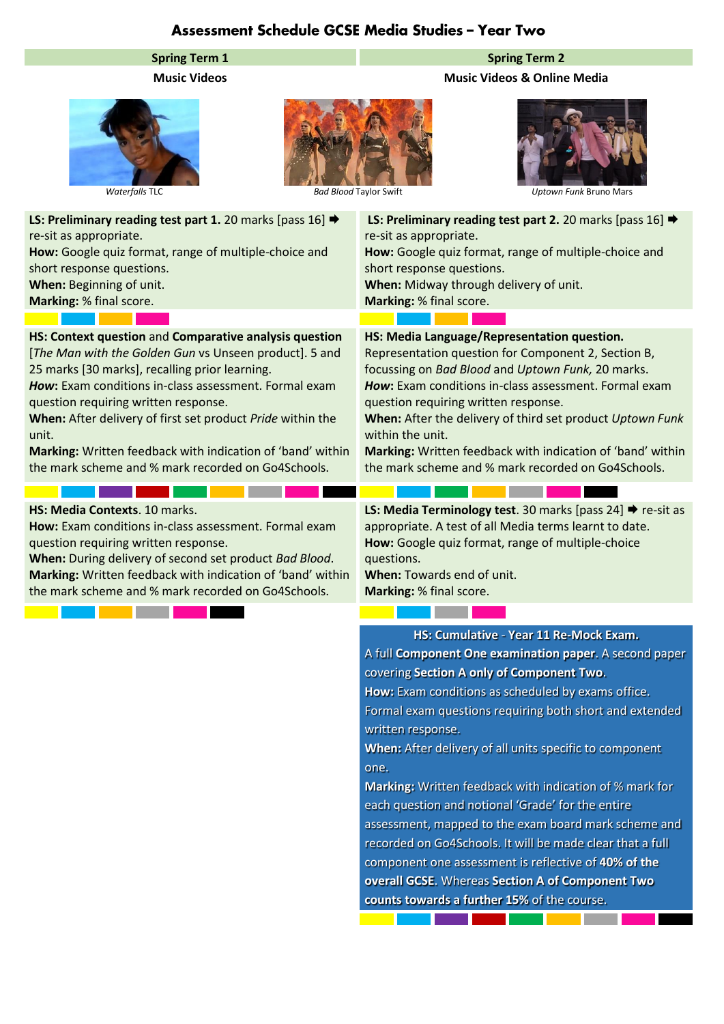# Assessment Schedule GCSE Media Studies - Year Two

# **Spring Term 1 Spring Term 2**

**Music Videos Music Videos & Online Media**



*Waterfalls* TLC *Bad Blood* Taylor Swift *Uptown Funk* Bruno Mars

| LS: Preliminary reading test part 1. 20 marks [pass 16] →<br>re-sit as appropriate.<br>How: Google quiz format, range of multiple-choice and<br>short response questions.<br>When: Beginning of unit.<br>Marking: % final score.                                                                                                                                                                                                                               | LS: Preliminary reading test part 2. 20 marks [pass 16] →<br>re-sit as appropriate.<br>How: Google quiz format, range of multiple-choice and<br>short response questions.<br>When: Midway through delivery of unit.<br>Marking: % final score.                                                                                                                                                                                                                |
|----------------------------------------------------------------------------------------------------------------------------------------------------------------------------------------------------------------------------------------------------------------------------------------------------------------------------------------------------------------------------------------------------------------------------------------------------------------|---------------------------------------------------------------------------------------------------------------------------------------------------------------------------------------------------------------------------------------------------------------------------------------------------------------------------------------------------------------------------------------------------------------------------------------------------------------|
|                                                                                                                                                                                                                                                                                                                                                                                                                                                                |                                                                                                                                                                                                                                                                                                                                                                                                                                                               |
| HS: Context question and Comparative analysis question<br>[The Man with the Golden Gun vs Unseen product]. 5 and<br>25 marks [30 marks], recalling prior learning.<br>How: Exam conditions in-class assessment. Formal exam<br>question requiring written response.<br>When: After delivery of first set product Pride within the<br>unit.<br>Marking: Written feedback with indication of 'band' within<br>the mark scheme and % mark recorded on Go4Schools. | HS: Media Language/Representation question.<br>Representation question for Component 2, Section B,<br>focussing on Bad Blood and Uptown Funk, 20 marks.<br>How: Exam conditions in-class assessment. Formal exam<br>question requiring written response.<br>When: After the delivery of third set product Uptown Funk<br>within the unit.<br>Marking: Written feedback with indication of 'band' within<br>the mark scheme and % mark recorded on Go4Schools. |
|                                                                                                                                                                                                                                                                                                                                                                                                                                                                |                                                                                                                                                                                                                                                                                                                                                                                                                                                               |
| HS: Media Contexts. 10 marks.<br>How: Exam conditions in-class assessment. Formal exam<br>question requiring written response.<br>When: During delivery of second set product Bad Blood.<br>Marking: Written feedback with indication of 'band' within<br>the mark scheme and % mark recorded on Go4Schools.                                                                                                                                                   | <b>LS: Media Terminology test.</b> 30 marks [pass $24$ ] $\rightarrow$ re-sit as<br>appropriate. A test of all Media terms learnt to date.<br>How: Google quiz format, range of multiple-choice<br>questions.<br>When: Towards end of unit.<br>Marking: % final score.                                                                                                                                                                                        |
|                                                                                                                                                                                                                                                                                                                                                                                                                                                                |                                                                                                                                                                                                                                                                                                                                                                                                                                                               |
|                                                                                                                                                                                                                                                                                                                                                                                                                                                                | HS: Cumulative - Year 11 Re-Mock Exam.<br>A full Component One examination paper. A second paper<br>covering Section A only of Component Two.<br>How: Exam conditions as scheduled by exams office.                                                                                                                                                                                                                                                           |

assessment, mapped to the exam board mark scheme and recorded on Go4Schools. It will be made clear that a full component one assessment is reflective of **40% of the overall GCSE**. Whereas **Section A of Component Two counts towards a further 15%** of the course.